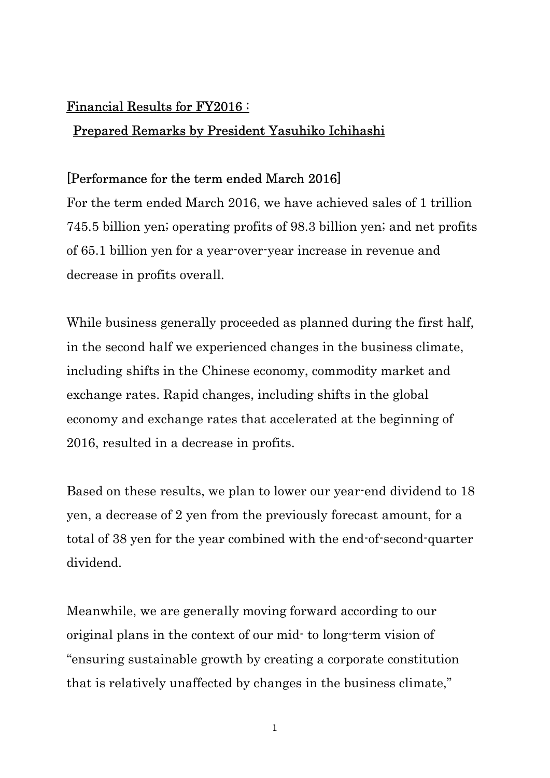## Financial Results for FY2016 : Prepared Remarks by President Yasuhiko Ichihashi

## [Performance for the term ended March 2016]

For the term ended March 2016, we have achieved sales of 1 trillion 745.5 billion yen; operating profits of 98.3 billion yen; and net profits of 65.1 billion yen for a year-over-year increase in revenue and decrease in profits overall.

While business generally proceeded as planned during the first half, in the second half we experienced changes in the business climate, including shifts in the Chinese economy, commodity market and exchange rates. Rapid changes, including shifts in the global economy and exchange rates that accelerated at the beginning of 2016, resulted in a decrease in profits.

Based on these results, we plan to lower our year-end dividend to 18 yen, a decrease of 2 yen from the previously forecast amount, for a total of 38 yen for the year combined with the end-of-second-quarter dividend.

Meanwhile, we are generally moving forward according to our original plans in the context of our mid- to long-term vision of "ensuring sustainable growth by creating a corporate constitution that is relatively unaffected by changes in the business climate,"

1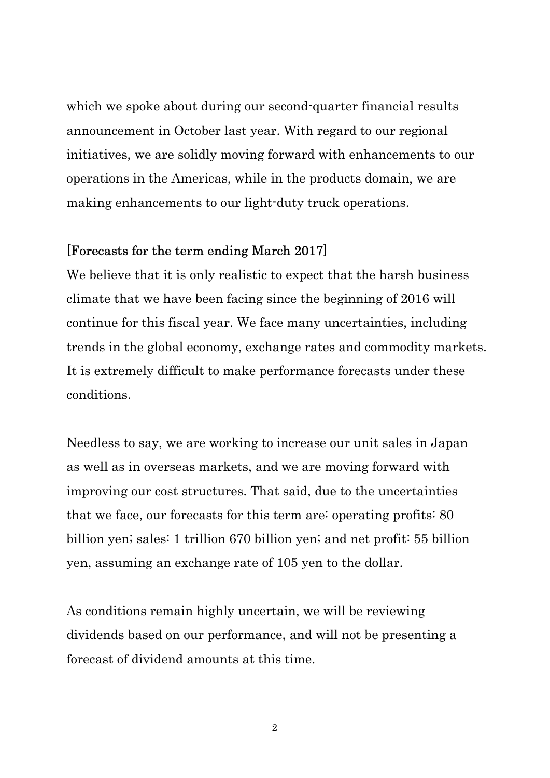which we spoke about during our second-quarter financial results announcement in October last year. With regard to our regional initiatives, we are solidly moving forward with enhancements to our operations in the Americas, while in the products domain, we are making enhancements to our light-duty truck operations.

## [Forecasts for the term ending March 2017]

We believe that it is only realistic to expect that the harsh business climate that we have been facing since the beginning of 2016 will continue for this fiscal year. We face many uncertainties, including trends in the global economy, exchange rates and commodity markets. It is extremely difficult to make performance forecasts under these conditions.

Needless to say, we are working to increase our unit sales in Japan as well as in overseas markets, and we are moving forward with improving our cost structures. That said, due to the uncertainties that we face, our forecasts for this term are: operating profits: 80 billion yen; sales: 1 trillion 670 billion yen; and net profit: 55 billion yen, assuming an exchange rate of 105 yen to the dollar.

As conditions remain highly uncertain, we will be reviewing dividends based on our performance, and will not be presenting a forecast of dividend amounts at this time.

2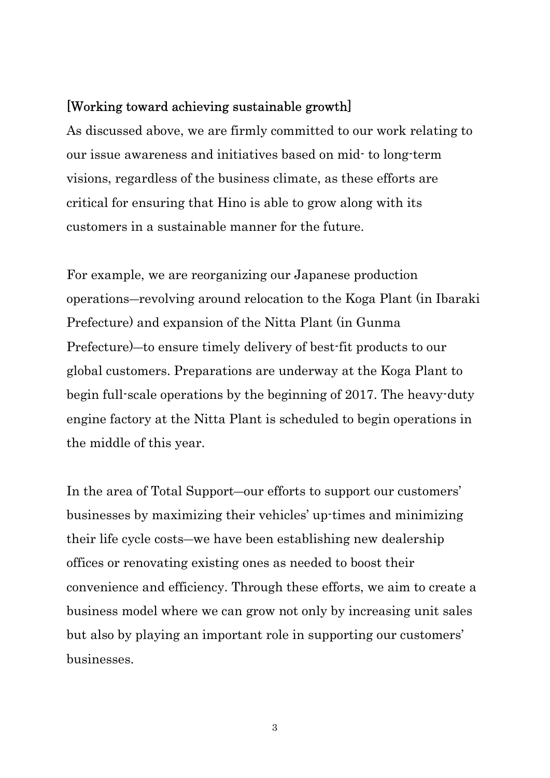## [Working toward achieving sustainable growth]

As discussed above, we are firmly committed to our work relating to our issue awareness and initiatives based on mid- to long-term visions, regardless of the business climate, as these efforts are critical for ensuring that Hino is able to grow along with its customers in a sustainable manner for the future.

For example, we are reorganizing our Japanese production operations―revolving around relocation to the Koga Plant (in Ibaraki Prefecture) and expansion of the Nitta Plant (in Gunma Prefecture)―to ensure timely delivery of best-fit products to our global customers. Preparations are underway at the Koga Plant to begin full-scale operations by the beginning of 2017. The heavy-duty engine factory at the Nitta Plant is scheduled to begin operations in the middle of this year.

In the area of Total Support―our efforts to support our customers' businesses by maximizing their vehicles' up-times and minimizing their life cycle costs―we have been establishing new dealership offices or renovating existing ones as needed to boost their convenience and efficiency. Through these efforts, we aim to create a business model where we can grow not only by increasing unit sales but also by playing an important role in supporting our customers' businesses.

3